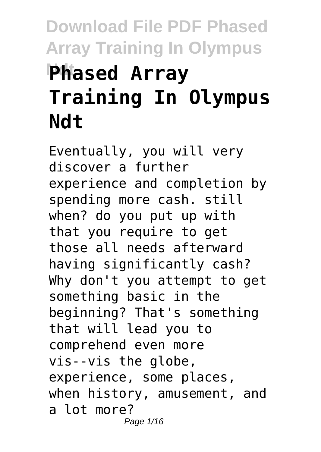# **Download File PDF Phased Array Training In Olympus Phased Array Training In Olympus Ndt**

Eventually, you will very discover a further experience and completion by spending more cash. still when? do you put up with that you require to get those all needs afterward having significantly cash? Why don't you attempt to get something basic in the beginning? That's something that will lead you to comprehend even more vis--vis the globe, experience, some places, when history, amusement, and a lot more? Page 1/16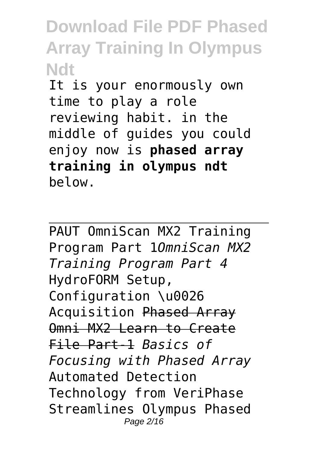It is your enormously own time to play a role reviewing habit. in the middle of guides you could enjoy now is **phased array training in olympus ndt** below.

PAUT OmniScan MX2 Training Program Part 1*OmniScan MX2 Training Program Part 4* HydroFORM Setup, Configuration \u0026 Acquisition Phased Array Omni MX2 Learn to Create File Part-1 *Basics of Focusing with Phased Array* Automated Detection Technology from VeriPhase Streamlines Olympus Phased Page 2/16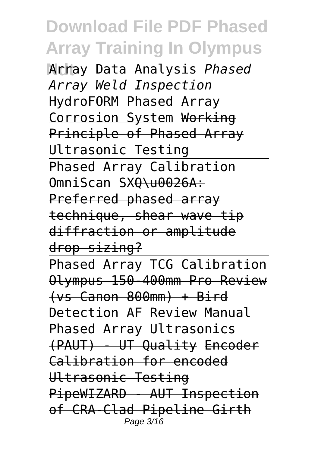**Array Data Analysis Phased** *Array Weld Inspection* HydroFORM Phased Array Corrosion System Working Principle of Phased Array Ultrasonic Testing Phased Array Calibration OmniScan SX<del>O\u0026A:</del> Preferred phased array technique, shear wave tip diffraction or amplitude drop sizing? Phased Array TCG Calibration Olympus 150-400mm Pro Review (vs Canon 800mm) + Bird Detection AF Review Manual Phased Array Ultrasonics (PAUT) - UT Quality Encoder Calibration for encoded Ultrasonic Testing PipeWIZARD - AUT Inspection of CRA-Clad Pipeline Girth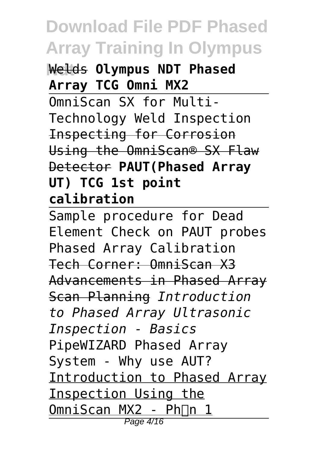**Welds Olympus NDT Phased Array TCG Omni MX2**

OmniScan SX for Multi-Technology Weld Inspection Inspecting for Corrosion Using the OmniScan® SX Flaw Detector **PAUT(Phased Array UT) TCG 1st point calibration**

Sample procedure for Dead Element Check on PAUT probes Phased Array Calibration Tech Corner: OmniScan X3 Advancements in Phased Array Scan Planning *Introduction to Phased Array Ultrasonic Inspection - Basics* PipeWIZARD Phased Array System - Why use AUT? Introduction to Phased Array Inspection Using the OmniScan MX2 - Ph<sub>n</sub> 1 Page 4/16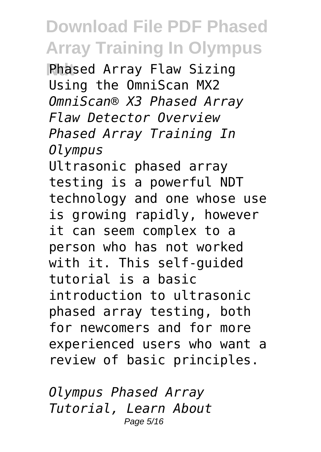**Phased Array Flaw Sizing** Using the OmniScan MX2 *OmniScan® X3 Phased Array Flaw Detector Overview Phased Array Training In Olympus*

Ultrasonic phased array testing is a powerful NDT technology and one whose use is growing rapidly, however it can seem complex to a person who has not worked with it. This self-guided tutorial is a basic introduction to ultrasonic phased array testing, both for newcomers and for more experienced users who want a review of basic principles.

*Olympus Phased Array Tutorial, Learn About* Page 5/16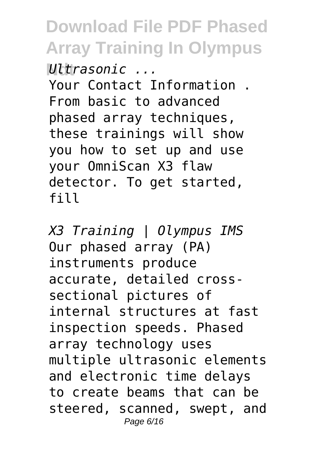**Ndt** *Ultrasonic ...* Your Contact Information . From basic to advanced phased array techniques, these trainings will show you how to set up and use your OmniScan X3 flaw detector. To get started, fill

*X3 Training | Olympus IMS* Our phased array (PA) instruments produce accurate, detailed crosssectional pictures of internal structures at fast inspection speeds. Phased array technology uses multiple ultrasonic elements and electronic time delays to create beams that can be steered, scanned, swept, and Page 6/16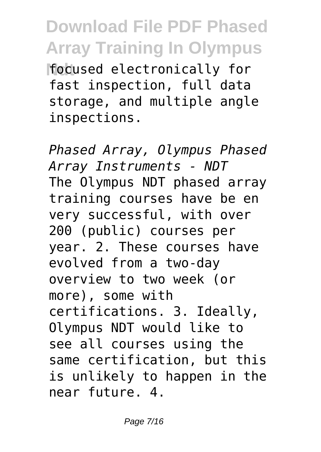**Hodused electronically for** fast inspection, full data storage, and multiple angle inspections.

*Phased Array, Olympus Phased Array Instruments - NDT* The Olympus NDT phased array training courses have be en very successful, with over 200 (public) courses per year. 2. These courses have evolved from a two-day overview to two week (or more), some with certifications. 3. Ideally, Olympus NDT would like to see all courses using the same certification, but this is unlikely to happen in the near future. 4.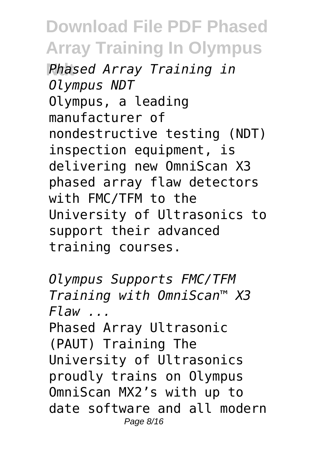**Ndt** *Phased Array Training in Olympus NDT* Olympus, a leading manufacturer of nondestructive testing (NDT) inspection equipment, is delivering new OmniScan X3 phased array flaw detectors with FMC/TFM to the University of Ultrasonics to support their advanced training courses.

*Olympus Supports FMC/TFM Training with OmniScan™ X3 Flaw ...* Phased Array Ultrasonic (PAUT) Training The University of Ultrasonics proudly trains on Olympus OmniScan MX2's with up to date software and all modern Page 8/16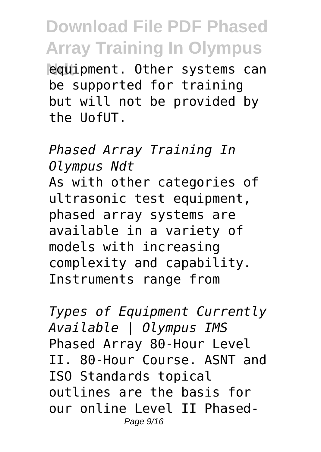**Requipment.** Other systems can be supported for training but will not be provided by the UofUT.

*Phased Array Training In Olympus Ndt* As with other categories of ultrasonic test equipment, phased array systems are available in a variety of models with increasing complexity and capability. Instruments range from

*Types of Equipment Currently Available | Olympus IMS* Phased Array 80-Hour Level II. 80-Hour Course. ASNT and ISO Standards topical outlines are the basis for our online Level II Phased-Page 9/16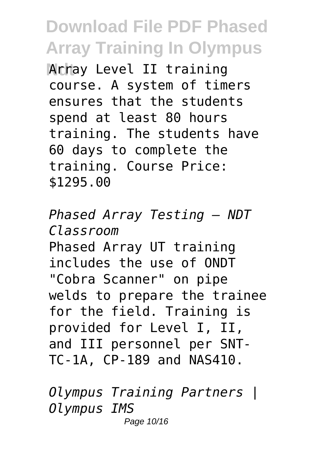**Array Level II training** course. A system of timers ensures that the students spend at least 80 hours training. The students have 60 days to complete the training. Course Price: \$1295.00

*Phased Array Testing — NDT Classroom* Phased Array UT training includes the use of ONDT "Cobra Scanner" on pipe welds to prepare the trainee for the field. Training is provided for Level I, II, and III personnel per SNT-TC-1A, CP-189 and NAS410.

*Olympus Training Partners | Olympus IMS* Page 10/16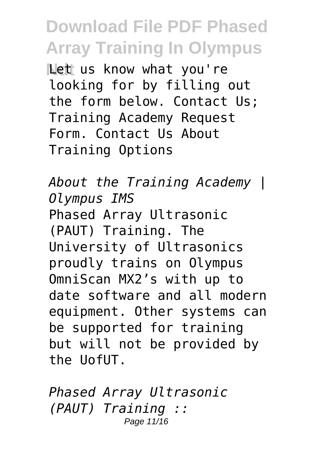**Ndt** Let us know what you're looking for by filling out the form below. Contact Us; Training Academy Request Form. Contact Us About Training Options

*About the Training Academy | Olympus IMS* Phased Array Ultrasonic (PAUT) Training. The University of Ultrasonics proudly trains on Olympus OmniScan MX2's with up to date software and all modern equipment. Other systems can be supported for training but will not be provided by the UofUT.

*Phased Array Ultrasonic (PAUT) Training ::* Page 11/16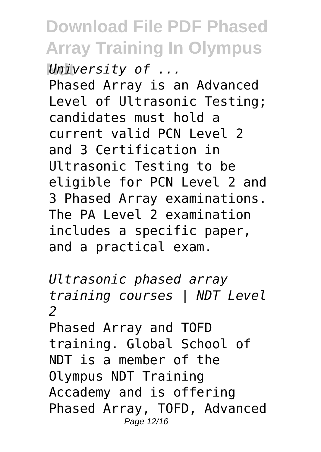**Ndt** *University of ...* Phased Array is an Advanced Level of Ultrasonic Testing; candidates must hold a current valid PCN Level 2 and 3 Certification in Ultrasonic Testing to be eligible for PCN Level 2 and 3 Phased Array examinations. The PA Level 2 examination includes a specific paper, and a practical exam.

*Ultrasonic phased array training courses | NDT Level 2* Phased Array and TOFD training. Global School of NDT is a member of the Olympus NDT Training Accademy and is offering Phased Array, TOFD, Advanced Page 12/16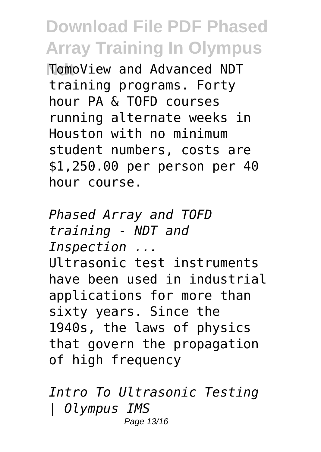**Ndt** TomoView and Advanced NDT training programs. Forty hour PA & TOFD courses running alternate weeks in Houston with no minimum student numbers, costs are \$1,250.00 per person per 40 hour course.

*Phased Array and TOFD training - NDT and Inspection ...* Ultrasonic test instruments have been used in industrial applications for more than sixty years. Since the 1940s, the laws of physics that govern the propagation of high frequency

*Intro To Ultrasonic Testing | Olympus IMS* Page 13/16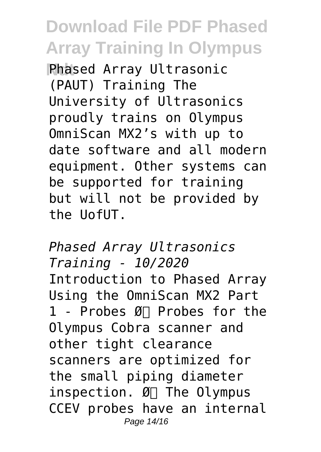**Phased Array Ultrasonic** (PAUT) Training The University of Ultrasonics proudly trains on Olympus OmniScan MX2's with up to date software and all modern equipment. Other systems can be supported for training but will not be provided by the UofUT.

*Phased Array Ultrasonics Training - 10/2020* Introduction to Phased Array Using the OmniScan MX2 Part 1 - Probes  $\mathfrak{g}_{\Box}$  Probes for the Olympus Cobra scanner and other tight clearance scanners are optimized for the small piping diameter inspection.  $Ø<sub>1</sub>$  The Olympus CCEV probes have an internal Page 14/16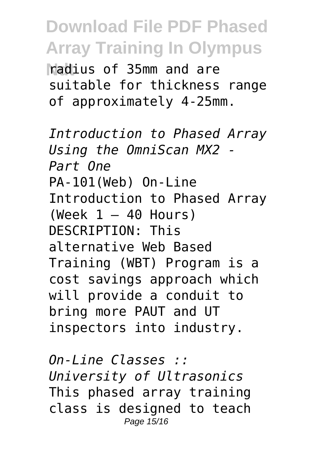**Ndt** radius of 35mm and are suitable for thickness range of approximately 4-25mm.

*Introduction to Phased Array Using the OmniScan MX2 - Part One* PA-101(Web) On-Line Introduction to Phased Array (Week  $1 - 40$  Hours) DESCRIPTION: This alternative Web Based Training (WBT) Program is a cost savings approach which will provide a conduit to bring more PAUT and UT inspectors into industry.

*On-Line Classes :: University of Ultrasonics* This phased array training class is designed to teach Page 15/16